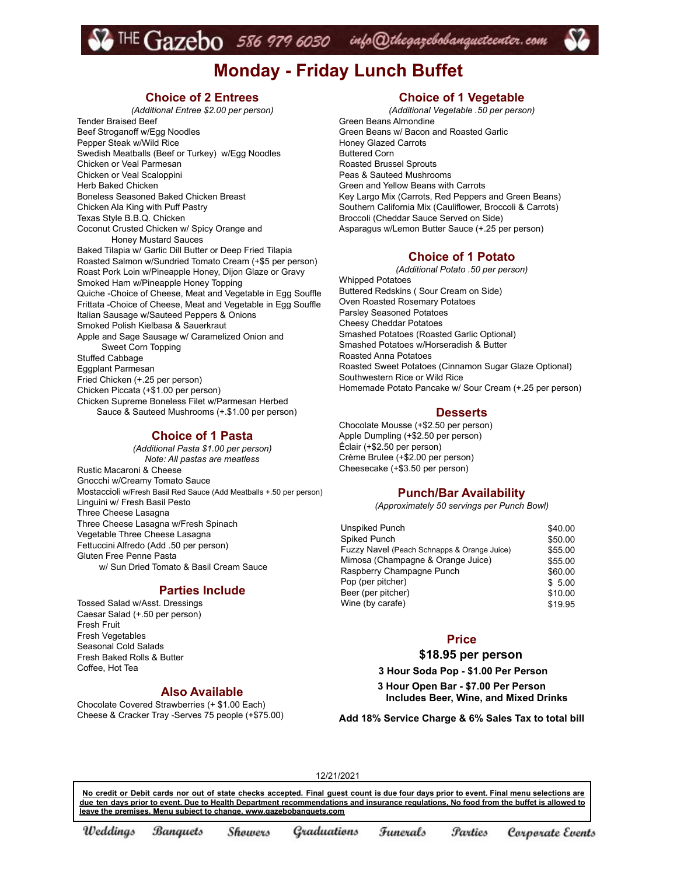# $^{\rm{THE}}\rm{Gazebo}$  586 979 6030 info@thegazebobanqueteenter.com



## **Choice of 2 Entrees**

*(Additional Entree \$2.00 per person)* Tender Braised Beef Beef Stroganoff w/Egg Noodles Pepper Steak w/Wild Rice Swedish Meatballs (Beef or Turkey) w/Egg Noodles Chicken or Veal Parmesan Chicken or Veal Scaloppini Herb Baked Chicken Boneless Seasoned Baked Chicken Breast Chicken Ala King with Puff Pastry Texas Style B.B.Q. Chicken Coconut Crusted Chicken w/ Spicy Orange and Honey Mustard Sauces Baked Tilapia w/ Garlic Dill Butter or Deep Fried Tilapia Roasted Salmon w/Sundried Tomato Cream (+\$5 per person) Roast Pork Loin w/Pineapple Honey, Dijon Glaze or Gravy Smoked Ham w/Pineapple Honey Topping Quiche -Choice of Cheese, Meat and Vegetable in Egg Souffle Frittata -Choice of Cheese, Meat and Vegetable in Egg Souffle Italian Sausage w/Sauteed Peppers & Onions Smoked Polish Kielbasa & Sauerkraut Apple and Sage Sausage w/ Caramelized Onion and Sweet Corn Topping Stuffed Cabbage Eggplant Parmesan Fried Chicken (+.25 per person) Chicken Piccata (+\$1.00 per person) Chicken Supreme Boneless Filet w/Parmesan Herbed Sauce & Sauteed Mushrooms (+.\$1.00 per person)

### **Choice of 1 Pasta**

*(Additional Pasta \$1.00 per person) Note: All pastas are meatless* Rustic Macaroni & Cheese Gnocchi w/Creamy Tomato Sauce Mostaccioli w/Fresh Basil Red Sauce (Add Meatballs +.50 per person) Linguini w/ Fresh Basil Pesto Three Cheese Lasagna Three Cheese Lasagna w/Fresh Spinach Vegetable Three Cheese Lasagna Fettuccini Alfredo (Add .50 per person) Gluten Free Penne Pasta w/ Sun Dried Tomato & Basil Cream Sauce

### **Parties Include**

Tossed Salad w/Asst. Dressings Caesar Salad (+.50 per person) Fresh Fruit Fresh Vegetables Seasonal Cold Salads Fresh Baked Rolls & Butter Coffee, Hot Tea

# **Also Available**

Chocolate Covered Strawberries (+ \$1.00 Each) Cheese & Cracker Tray -Serves 75 people (+\$75.00)

# **Choice of 1 Vegetable**

*(Additional Vegetable .50 per person)* Green Beans Almondine Green Beans w/ Bacon and Roasted Garlic Honey Glazed Carrots Buttered Corn Roasted Brussel Sprouts Peas & Sauteed Mushrooms Green and Yellow Beans with Carrots Key Largo Mix (Carrots, Red Peppers and Green Beans) Southern California Mix (Cauliflower, Broccoli & Carrots) Broccoli (Cheddar Sauce Served on Side) Asparagus w/Lemon Butter Sauce (+.25 per person)

### **Choice of 1 Potato**

*(Additional Potato .50 per person)* Whipped Potatoes Buttered Redskins ( Sour Cream on Side) Oven Roasted Rosemary Potatoes Parsley Seasoned Potatoes Cheesy Cheddar Potatoes Smashed Potatoes (Roasted Garlic Optional) Smashed Potatoes w/Horseradish & Butter Roasted Anna Potatoes Roasted Sweet Potatoes (Cinnamon Sugar Glaze Optional) Southwestern Rice or Wild Rice Homemade Potato Pancake w/ Sour Cream (+.25 per person)

### **Desserts**

Chocolate Mousse (+\$2.50 per person) Apple Dumpling (+\$2.50 per person) Éclair (+\$2.50 per person) Crème Brulee (+\$2.00 per person) Cheesecake (+\$3.50 per person)

### **Punch/Bar Availability**

*(Approximately 50 servings per Punch Bowl)*

| Unspiked Punch                              | \$40.00 |
|---------------------------------------------|---------|
| Spiked Punch                                | \$50.00 |
| Fuzzy Navel (Peach Schnapps & Orange Juice) | \$55.00 |
| Mimosa (Champagne & Orange Juice)           | \$55.00 |
| Raspberry Champagne Punch                   | \$60.00 |
| Pop (per pitcher)                           | \$5.00  |
| Beer (per pitcher)                          | \$10.00 |
| Wine (by carafe)                            | \$19.95 |
|                                             |         |

# **Price**

# **\$18.95 per person**

### **3 Hour Soda Pop - \$1.00 Per Person**

**3 Hour Open Bar - \$7.00 Per Person Includes Beer, Wine, and Mixed Drinks**

**Add 18% Service Charge & 6% Sales Tax to total bill**

12/21/2021

No credit or Debit cards nor out of state checks accepted. Final quest count is due four days prior to event. Final menu selections are due ten days prior to event. Due to Health Department recommendations and insurance regulations. No food from the buffet is allowed to **leave the premises. Menu subject to change. www.gazebobanquets.com**